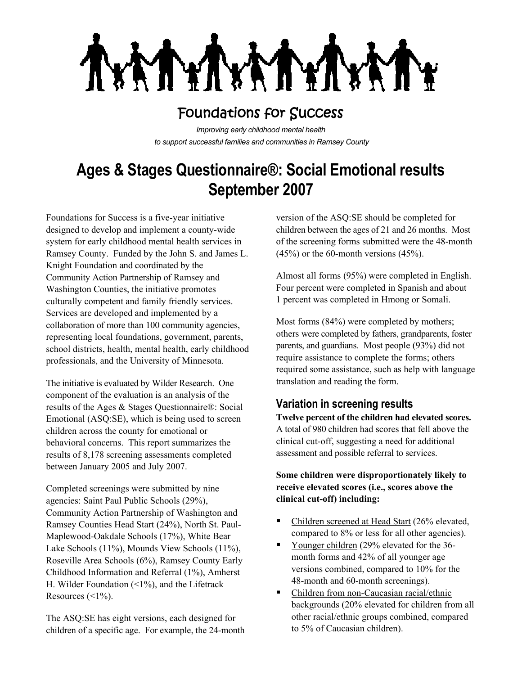

## Foundations for Success

*Improving early childhood mental health to support successful families and communities in Ramsey County*

# **Ages & Stages Questionnaire®: Social Emotional results September 2007**

Foundations for Success is a five-year initiative designed to develop and implement a county-wide system for early childhood mental health services in Ramsey County. Funded by the John S. and James L. Knight Foundation and coordinated by the Community Action Partnership of Ramsey and Washington Counties, the initiative promotes culturally competent and family friendly services. Services are developed and implemented by a collaboration of more than 100 community agencies, representing local foundations, government, parents, school districts, health, mental health, early childhood professionals, and the University of Minnesota.

The initiative is evaluated by Wilder Research. One component of the evaluation is an analysis of the results of the Ages & Stages Questionnaire®: Social Emotional (ASQ:SE), which is being used to screen children across the county for emotional or behavioral concerns. This report summarizes the results of 8,178 screening assessments completed between January 2005 and July 2007.

Completed screenings were submitted by nine agencies: Saint Paul Public Schools (29%), Community Action Partnership of Washington and Ramsey Counties Head Start (24%), North St. Paul-Maplewood-Oakdale Schools (17%), White Bear Lake Schools (11%), Mounds View Schools (11%), Roseville Area Schools (6%), Ramsey County Early Childhood Information and Referral (1%), Amherst H. Wilder Foundation  $(1\%)$ , and the Lifetrack Resources  $(\leq 1\%)$ .

The ASQ:SE has eight versions, each designed for children of a specific age. For example, the 24-month

version of the ASQ:SE should be completed for children between the ages of 21 and 26 months. Most of the screening forms submitted were the 48-month  $(45%)$  or the 60-month versions  $(45%)$ .

Almost all forms (95%) were completed in English. Four percent were completed in Spanish and about 1 percent was completed in Hmong or Somali.

Most forms (84%) were completed by mothers; others were completed by fathers, grandparents, foster parents, and guardians. Most people (93%) did not require assistance to complete the forms; others required some assistance, such as help with language translation and reading the form.

## **Variation in screening results**

**Twelve percent of the children had elevated scores.**  A total of 980 children had scores that fell above the clinical cut-off, suggesting a need for additional assessment and possible referral to services.

#### **Some children were disproportionately likely to receive elevated scores (i.e., scores above the clinical cut-off) including:**

- Children screened at Head Start (26% elevated, compared to 8% or less for all other agencies).
- Younger children (29% elevated for the 36month forms and 42% of all younger age versions combined, compared to 10% for the 48-month and 60-month screenings).
- Children from non-Caucasian racial/ethnic backgrounds (20% elevated for children from all other racial/ethnic groups combined, compared to 5% of Caucasian children).